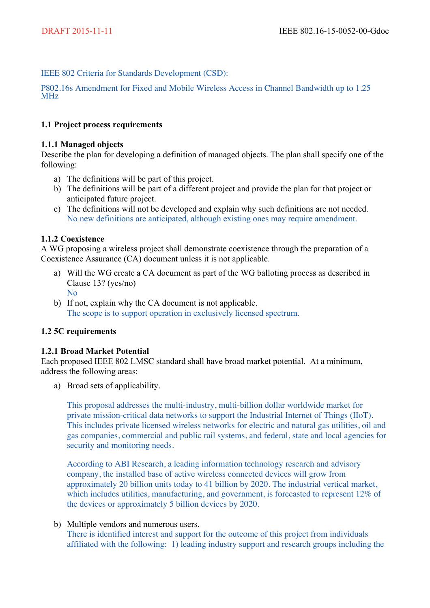IEEE 802 Criteria for Standards Development (CSD):

P802.16s Amendment for Fixed and Mobile Wireless Access in Channel Bandwidth up to 1.25 MHz

# **1.1 Project process requirements**

### **1.1.1 Managed objects**

Describe the plan for developing a definition of managed objects. The plan shall specify one of the following:

- a) The definitions will be part of this project.
- b) The definitions will be part of a different project and provide the plan for that project or anticipated future project.
- c) The definitions will not be developed and explain why such definitions are not needed. No new definitions are anticipated, although existing ones may require amendment.

### **1.1.2 Coexistence**

A WG proposing a wireless project shall demonstrate coexistence through the preparation of a Coexistence Assurance (CA) document unless it is not applicable.

- a) Will the WG create a CA document as part of the WG balloting process as described in Clause 13? (yes/no) No
- b) If not, explain why the CA document is not applicable. The scope is to support operation in exclusively licensed spectrum.

### **1.2 5C requirements**

### **1.2.1 Broad Market Potential**

Each proposed IEEE 802 LMSC standard shall have broad market potential. At a minimum, address the following areas:

a) Broad sets of applicability.

This proposal addresses the multi-industry, multi-billion dollar worldwide market for private mission-critical data networks to support the Industrial Internet of Things (IIoT). This includes private licensed wireless networks for electric and natural gas utilities, oil and gas companies, commercial and public rail systems, and federal, state and local agencies for security and monitoring needs.

According to ABI Research, a leading information technology research and advisory company, the installed base of active wireless connected devices will grow from approximately 20 billion units today to 41 billion by 2020. The industrial vertical market, which includes utilities, manufacturing, and government, is forecasted to represent 12% of the devices or approximately 5 billion devices by 2020.

### b) Multiple vendors and numerous users.

There is identified interest and support for the outcome of this project from individuals affiliated with the following: 1) leading industry support and research groups including the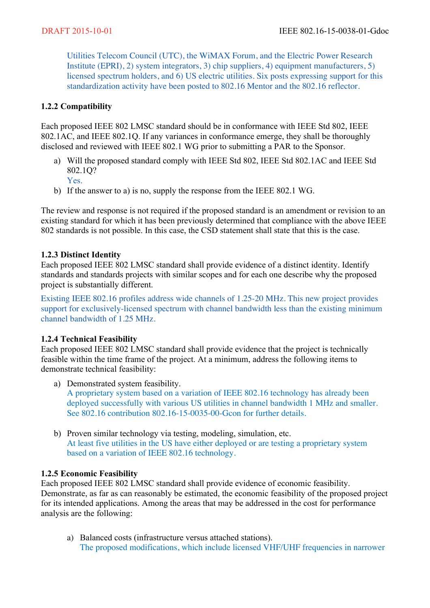Utilities Telecom Council (UTC), the WiMAX Forum, and the Electric Power Research Institute (EPRI), 2) system integrators, 3) chip suppliers, 4) equipment manufacturers, 5) licensed spectrum holders, and 6) US electric utilities. Six posts expressing support for this standardization activity have been posted to 802.16 Mentor and the 802.16 reflector.

# **1.2.2 Compatibility**

Each proposed IEEE 802 LMSC standard should be in conformance with IEEE Std 802, IEEE 802.1AC, and IEEE 802.1Q. If any variances in conformance emerge, they shall be thoroughly disclosed and reviewed with IEEE 802.1 WG prior to submitting a PAR to the Sponsor.

- a) Will the proposed standard comply with IEEE Std 802, IEEE Std 802.1AC and IEEE Std 802.1Q?
	- **Yes**
- b) If the answer to a) is no, supply the response from the IEEE 802.1 WG.

The review and response is not required if the proposed standard is an amendment or revision to an existing standard for which it has been previously determined that compliance with the above IEEE 802 standards is not possible. In this case, the CSD statement shall state that this is the case.

## **1.2.3 Distinct Identity**

Each proposed IEEE 802 LMSC standard shall provide evidence of a distinct identity. Identify standards and standards projects with similar scopes and for each one describe why the proposed project is substantially different.

Existing IEEE 802.16 profiles address wide channels of 1.25-20 MHz. This new project provides support for exclusively-licensed spectrum with channel bandwidth less than the existing minimum channel bandwidth of 1.25 MHz.

## **1.2.4 Technical Feasibility**

Each proposed IEEE 802 LMSC standard shall provide evidence that the project is technically feasible within the time frame of the project. At a minimum, address the following items to demonstrate technical feasibility:

- a) Demonstrated system feasibility. A proprietary system based on a variation of IEEE 802.16 technology has already been deployed successfully with various US utilities in channel bandwidth 1 MHz and smaller. See 802.16 contribution 802.16-15-0035-00-Gcon for further details.
- b) Proven similar technology via testing, modeling, simulation, etc. At least five utilities in the US have either deployed or are testing a proprietary system based on a variation of IEEE 802.16 technology.

## **1.2.5 Economic Feasibility**

Each proposed IEEE 802 LMSC standard shall provide evidence of economic feasibility. Demonstrate, as far as can reasonably be estimated, the economic feasibility of the proposed project for its intended applications. Among the areas that may be addressed in the cost for performance analysis are the following:

a) Balanced costs (infrastructure versus attached stations). The proposed modifications, which include licensed VHF/UHF frequencies in narrower